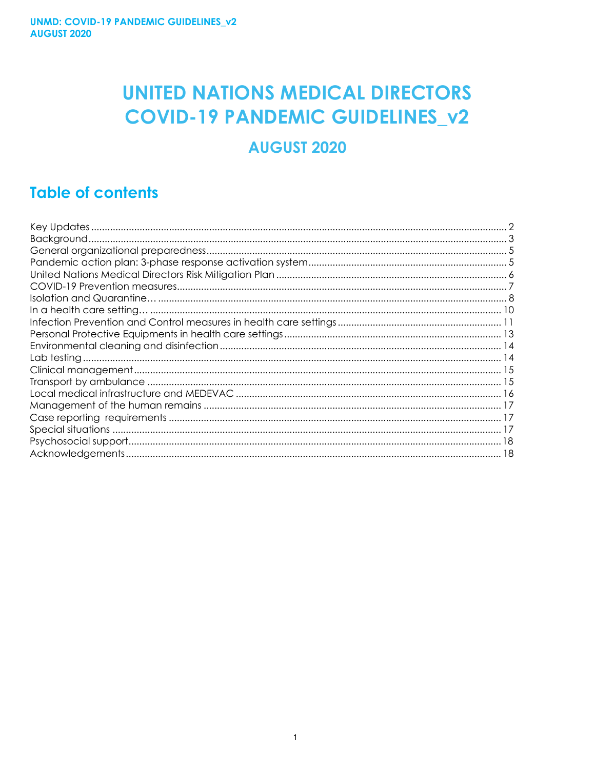# **UNITED NATIONS MEDICAL DIRECTORS COVID-19 PANDEMIC GUIDELINES\_v2**

# **AUGUST 2020**

# **Table of contents**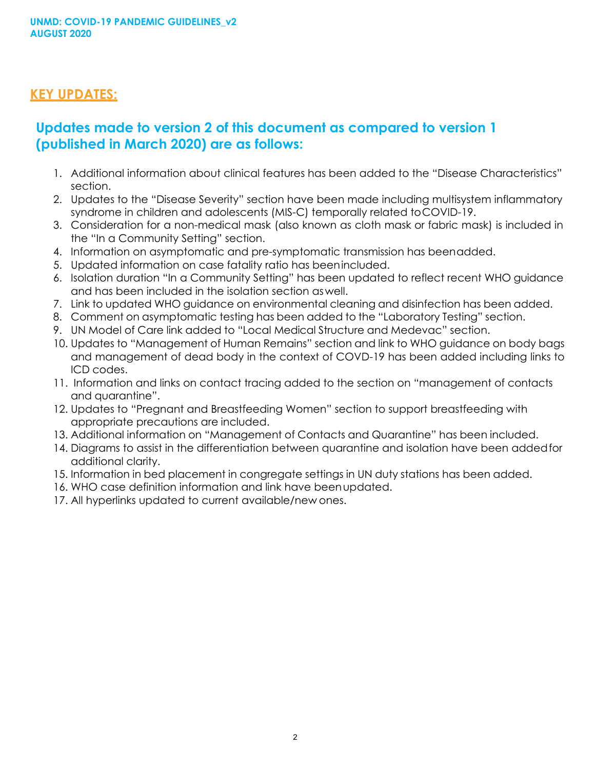#### <span id="page-1-0"></span>**KEY UPDATES:**

# **Updates made to version 2 of this document as compared to version 1 (published in March 2020) are as follows:**

- 1. Additional information about clinical features has been added to the "Disease Characteristics" section.
- 2. Updates to the "Disease Severity" section have been made including multisystem inflammatory syndrome in children and adolescents (MIS-C) temporally related toCOVID-19.
- 3. Consideration for a non-medical mask (also known as cloth mask or fabric mask) is included in the "In a Community Setting" section.
- 4. Information on asymptomatic and pre-symptomatic transmission has beenadded.
- 5. Updated information on case fatality ratio has beenincluded.
- 6. Isolation duration "In a Community Setting" has been updated to reflect recent WHO guidance and has been included in the isolation section aswell.
- 7. Link to updated WHO guidance on environmental cleaning and disinfection has been added.
- 8. Comment on asymptomatic testing has been added to the "Laboratory Testing" section.
- 9. UN Model of Care link added to "Local Medical Structure and Medevac" section.
- 10. Updates to "Management of Human Remains" section and link to WHO guidance on body bags and management of dead body in the context of COVD-19 has been added including links to ICD codes.
- 11. Information and links on contact tracing added to the section on "management of contacts and quarantine".
- 12. Updates to "Pregnant and Breastfeeding Women" section to support breastfeeding with appropriate precautions are included.
- 13. Additional information on "Management of Contacts and Quarantine" has been included.
- 14. Diagrams to assist in the differentiation between quarantine and isolation have been addedfor additional clarity.
- 15. Information in bed placement in congregate settings in UN duty stations has been added.
- 16. WHO case definition information and link have beenupdated.
- 17. All hyperlinks updated to current available/new ones.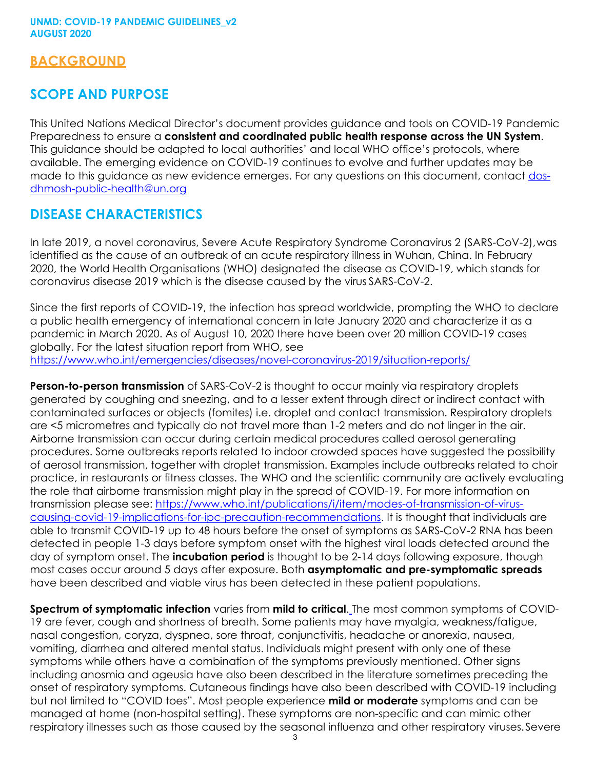#### **BACKGROUND**

#### **SCOPE AND PURPOSE**

This United Nations Medical Director's document provides guidance and tools on COVID-19 Pandemic Preparedness to ensure a **consistent and coordinated public health response across the UN System**. This guidance should be adapted to local authorities' and local WHO office's protocols, where available. The emerging evidence on COVID-19 continues to evolve and further updates may be made to this quidance as new evidence emerges. For any questions on this document, contact [dos](mailto:dos-dhmosh-public-health@un.org)[dhmosh-public-](mailto:dos-dhmosh-public-health@un.org)[health@un.org](mailto:health@un.org)

#### **DISEASE CHARACTERISTICS**

In late 2019, a novel coronavirus, Severe Acute Respiratory Syndrome Coronavirus 2 (SARS-CoV-2),was identified as the cause of an outbreak of an acute respiratory illness in Wuhan, China. In February 2020, the World Health Organisations (WHO) designated the disease as COVID-19, which stands for coronavirus disease 2019 which is the disease caused by the virus SARS-CoV-2.

Since the first reports of COVID-19, the infection has spread worldwide, prompting the WHO to declare a public health emergency of international concern in late January 2020 and characterize it as a pandemic in March 2020. As of August 10, 2020 there have been over 20 million COVID-19 cases globally. For the latest situation report from WHO, see <https://www.who.int/emergencies/diseases/novel-coronavirus-2019/situation-reports/>

**Person-to-person transmission** of SARS-CoV-2 is thought to occur mainly via respiratory droplets generated by coughing and sneezing, and to a lesser extent through direct or indirect contact with contaminated surfaces or objects (fomites) i.e. droplet and contact transmission. Respiratory droplets are <5 micrometres and typically do not travel more than 1-2 meters and do not linger in the air. Airborne transmission can occur during certain medical procedures called aerosol generating procedures. Some outbreaks reports related to indoor crowded spaces have suggested the possibility of aerosol transmission, together with droplet transmission. Examples include outbreaks related to choir practice, in restaurants or fitness classes. The WHO and the scientific community are actively evaluating the role that airborne transmission might play in the spread of COVID-19. For more information on transmission please see: [https://www.who.int/publications/i/item/modes-of-transmission-of-virus](https://www.who.int/publications/i/item/modes-of-transmission-of-virus-causing-covid-19-implications-for-ipc-precaution-recommendations)[causing-covid-19-implications-for-ipc-precaution-recommendations.](https://www.who.int/publications/i/item/modes-of-transmission-of-virus-causing-covid-19-implications-for-ipc-precaution-recommendations) It is thought that individuals are able to transmit COVID-19 up to 48 hours before the onset of symptoms as SARS-CoV-2 RNA has been detected in people 1-3 days before symptom onset with the highest viral loads detected around the day of symptom onset. The **incubation period** is thought to be 2-14 days following exposure, though most cases occur around 5 days after exposure. Both **asymptomatic and pre-symptomatic spreads**  have been described and viable virus has been detected in these patient populations.

**Spectrum of symptomatic infection** varies from **mild to critical**. The most common symptoms of COVID-19 are fever, cough and shortness of breath. Some patients may have myalgia, weakness/fatigue, nasal congestion, coryza, dyspnea, sore throat, conjunctivitis, headache or anorexia, nausea, vomiting, diarrhea and altered mental status. Individuals might present with only one of these symptoms while others have a combination of the symptoms previously mentioned. Other signs including anosmia and ageusia have also been described in the literature sometimes preceding the onset of respiratory symptoms. Cutaneous findings have also been described with COVID-19 including but not limited to "COVID toes". Most people experience **mild or moderate** symptoms and can be managed at home (non-hospital setting). These symptoms are non-specific and can mimic other respiratory illnesses such as those caused by the seasonal influenza and other respiratory viruses.Severe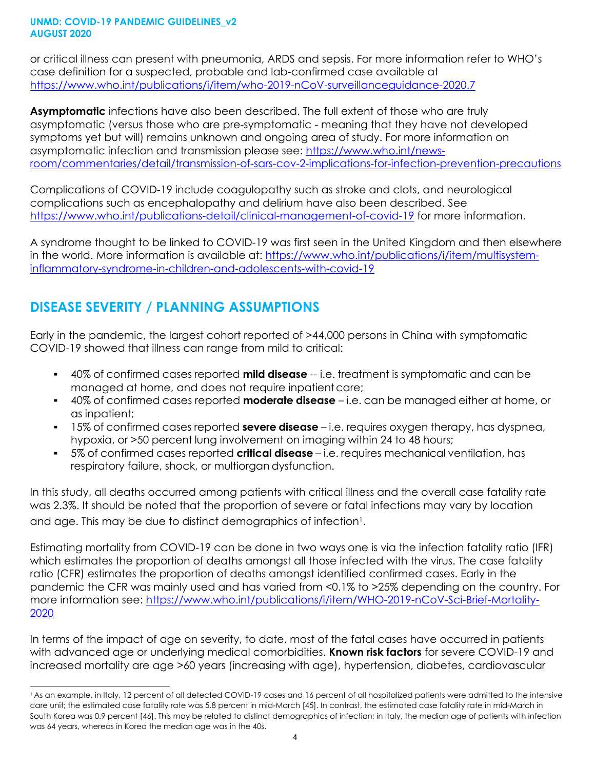or critical illness can present with pneumonia, ARDS and sepsis. For more information refer to WHO's case definition for a suspected, probable and lab-confirmed case available at <https://www.who.int/publications/i/item/who-2019-nCoV-surveillanceguidance-2020.7>

**Asymptomatic** infections have also been described. The full extent of those who are truly asymptomatic (versus those who are pre-symptomatic - meaning that they have not developed symptoms yet but will) remains unknown and ongoing area of study. For more information on asymptomatic infection and transmission please see: [https://www.who.int/news](https://www.who.int/news-room/commentaries/detail/transmission-of-sars-cov-2-implications-for-infection-prevention-precautions)[room/commentaries/detail/transmission-of-sars-cov-2-implications-for-infection-prevention-precautions](https://www.who.int/news-room/commentaries/detail/transmission-of-sars-cov-2-implications-for-infection-prevention-precautions)

Complications of COVID-19 include coagulopathy such as stroke and clots, and neurological complications such as encephalopathy and delirium have also been described. See <https://www.who.int/publications-detail/clinical-management-of-covid-19> for more information.

A syndrome thought to be linked to COVID-19 was first seen in the United Kingdom and then elsewhere in the world. More information is available at: [https://www.who.int/publications/i/item/multisystem](https://www.who.int/publications/i/item/multisystem-inflammatory-syndrome-in-children-and-adolescents-with-covid-19)[inflammatory-syndrome-in-children-and-adolescents-with-covid-19](https://www.who.int/publications/i/item/multisystem-inflammatory-syndrome-in-children-and-adolescents-with-covid-19)

# **DISEASE SEVERITY / PLANNING ASSUMPTIONS**

Early in the pandemic, the largest cohort reported of >44,000 persons in China with symptomatic COVID-19 showed that illness can range from mild to critical:

- 40% of confirmed cases reported **mild disease** -- i.e. treatment is symptomatic and can be managed at home, and does not require inpatient care;
- 40% of confirmed cases reported **moderate disease** i.e. can be managed either at home, or as inpatient;
- 15% of confirmed cases reported **severe disease** i.e. requires oxygen therapy, has dyspnea, hypoxia, or >50 percent lung involvement on imaging within 24 to 48 hours;
- 5% of confirmed cases reported **critical disease** i.e. requires mechanical ventilation, has respiratory failure, shock, or multiorgan dysfunction.

In this study, all deaths occurred among patients with critical illness and the overall case fatality rate was 2.3%. It should be noted that the proportion of severe or fatal infections may vary by location and age. This may be due to distinct demographics of infection<sup>1</sup>.

Estimating mortality from COVID-19 can be done in two ways one is via the infection fatality ratio (IFR) which estimates the proportion of deaths amongst all those infected with the virus. The case fatality ratio (CFR) estimates the proportion of deaths amongst identified confirmed cases. Early in the pandemic the CFR was mainly used and has varied from <0.1% to >25% depending on the country. For more information see: [https://www.who.int/publications/i/item/WHO-2019-nCoV-Sci-Brief-Mortality-](https://www.who.int/publications/i/item/WHO-2019-nCoV-Sci-Brief-Mortality-2020)[2020](https://www.who.int/publications/i/item/WHO-2019-nCoV-Sci-Brief-Mortality-2020)

In terms of the impact of age on severity, to date, most of the fatal cases have occurred in patients with advanced age or underlying medical comorbidities. **Known risk factors** for severe COVID-19 and increased mortality are age >60 years (increasing with age), hypertension, diabetes, cardiovascular

<sup>1</sup> As an example, in Italy, 12 percent of all detected COVID-19 cases and 16 percent of all hospitalized patients were admitted to the intensive care unit; the estimated case fatality rate was 5.8 percent in mid-March [\[45\].](https://www.uptodate.com/contents/coronavirus-disease-2019-covid-19/abstract/45) In contrast, the estimated case fatality rate in mid-March in South Korea was 0.9 percent [\[46\].](https://www.uptodate.com/contents/coronavirus-disease-2019-covid-19/abstract/46) This may be related to distinct demographics of infection; in Italy, the median age of patients with infection was 64 years, whereas in Korea the median age was in the 40s.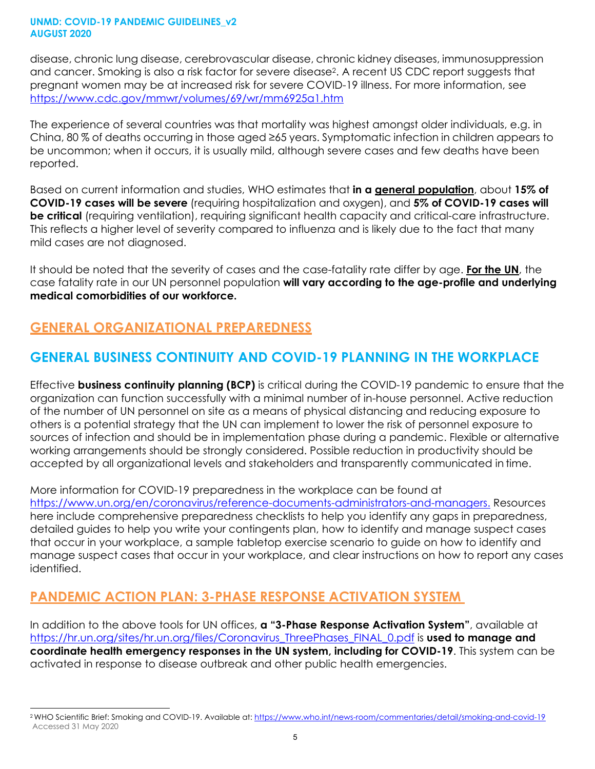disease, chronic lung disease, cerebrovascular disease, chronic kidney diseases, immunosuppression and cancer. Smoking is also a risk factor for severe disease2. A recent US CDC report suggests that pregnant women may be at increased risk for severe COVID-19 illness. For more information, see <https://www.cdc.gov/mmwr/volumes/69/wr/mm6925a1.htm>

The experience of several countries was that mortality was highest amongst older individuals, e.g. in China, 80 % of deaths occurring in those aged ≥65 years. Symptomatic infection in children appears to be uncommon; when it occurs, it is usually mild, although severe cases and few deaths have been reported.

Based on current information and studies, WHO estimates that **in a general population**, about **15% of COVID-19 cases will be severe** (requiring hospitalization and oxygen), and **5% of COVID-19 cases will be critical** (requiring ventilation), requiring significant health capacity and critical-care infrastructure. This reflects a higher level of severity compared to influenza and is likely due to the fact that many mild cases are not diagnosed.

It should be noted that the severity of cases and the case-fatality rate differ by age. **For the UN**, the case fatality rate in our UN personnel population **will vary according to the age-profile and underlying medical comorbidities of our workforce.**

# <span id="page-4-0"></span>**GENERAL ORGANIZATIONAL PREPAREDNESS**

# **GENERAL BUSINESS CONTINUITY AND COVID-19 PLANNING IN THE WORKPLACE**

Effective **business continuity planning (BCP)** is critical during the COVID-19 pandemic to ensure that the organization can function successfully with a minimal number of in-house personnel. Active reduction of the number of UN personnel on site as a means of physical distancing and reducing exposure to others is a potential strategy that the UN can implement to lower the risk of personnel exposure to sources of infection and should be in implementation phase during a pandemic. Flexible or alternative working arrangements should be strongly considered. Possible reduction in productivity should be accepted by all organizational levels and stakeholders and transparently communicated in time.

More information for COVID-19 preparedness in the workplace can be found at [https://www.un.org/en/coronavirus/reference-documents-administrators-and-managers.](https://www.un.org/en/coronavirus/reference-documents-administrators-and-managers) Resources here include comprehensive preparedness checklists to help you identify any gaps in preparedness, detailed guides to help you write your contingents plan, how to identify and manage suspect cases that occur in your workplace, a sample tabletop exercise scenario to guide on how to identify and manage suspect cases that occur in your workplace, and clear instructions on how to report any cases identified.

# <span id="page-4-1"></span>**PANDEMIC ACTION PLAN: 3-PHASE RESPONSE ACTIVATION SYSTEM**

In addition to the above tools for UN offices, **a "3-Phase Response Activation System"**, available at [https://hr.un.org/sites/hr.un.org/files/Coronavirus\\_ThreePhases\\_FINAL\\_0.pdf](https://hr.un.org/sites/hr.un.org/files/Coronavirus_ThreePhases_FINAL_0.pdf) is **used to manage and coordinate health emergency responses in the UN system, including for COVID-19**. This system can be activated in response to disease outbreak and other public health emergencies.

<sup>&</sup>lt;sup>2</sup> WHO Scientific Brief: Smoking and COVID-19. Available at:<https://www.who.int/news-room/commentaries/detail/smoking-and-covid-19> Accessed 31 May 2020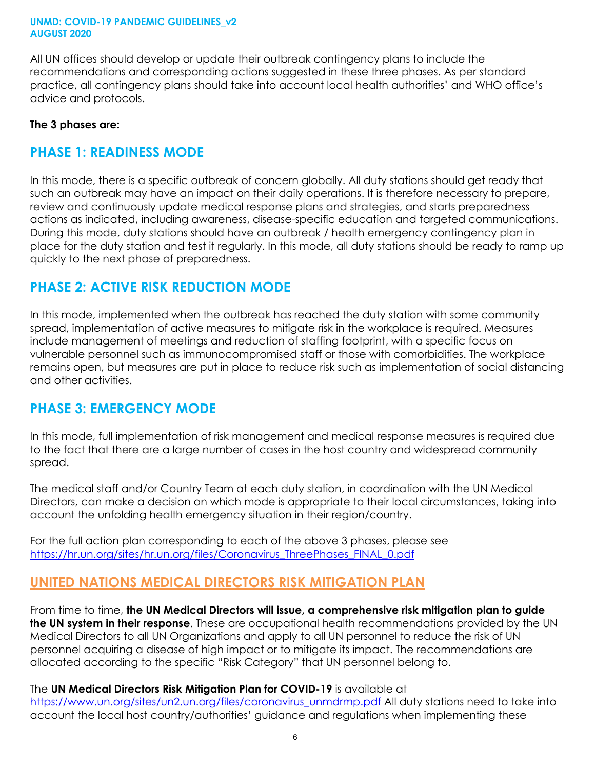All UN offices should develop or update their outbreak contingency plans to include the recommendations and corresponding actions suggested in these three phases. As per standard practice, all contingency plans should take into account local health authorities' and WHO office's advice and protocols.

#### **The 3 phases are:**

#### **PHASE 1: READINESS MODE**

In this mode, there is a specific outbreak of concern globally. All duty stations should get ready that such an outbreak may have an impact on their daily operations. It is therefore necessary to prepare, review and continuously update medical response plans and strategies, and starts preparedness actions as indicated, including awareness, disease-specific education and targeted communications. During this mode, duty stations should have an outbreak / health emergency contingency plan in place for the duty station and test it regularly. In this mode, all duty stations should be ready to ramp up quickly to the next phase of preparedness.

#### **PHASE 2: ACTIVE RISK REDUCTION MODE**

In this mode, implemented when the outbreak has reached the duty station with some community spread, implementation of active measures to mitigate risk in the workplace is required. Measures include management of meetings and reduction of staffing footprint, with a specific focus on vulnerable personnel such as immunocompromised staff or those with comorbidities. The workplace remains open, but measures are put in place to reduce risk such as implementation of social distancing and other activities.

#### **PHASE 3: EMERGENCY MODE**

In this mode, full implementation of risk management and medical response measures is required due to the fact that there are a large number of cases in the host country and widespread community spread.

The medical staff and/or Country Team at each duty station, in coordination with the UN Medical Directors, can make a decision on which mode is appropriate to their local circumstances, taking into account the unfolding health emergency situation in their region/country.

For the full action plan corresponding to each of the above 3 phases, please see [https://hr.un.org/sites/hr.un.org/files/Coronavirus\\_ThreePhases\\_FINAL\\_0.pdf](https://hr.un.org/sites/hr.un.org/files/Coronavirus_ThreePhases_FINAL_0.pdf)

### <span id="page-5-0"></span>**UNITED NATIONS MEDICAL DIRECTORS RISK MITIGATION PLAN**

From time to time, **the UN Medical Directors will issue, a comprehensive risk mitigation plan to guide the UN system in their response**. These are occupational health recommendations provided by the UN Medical Directors to all UN Organizations and apply to all UN personnel to reduce the risk of UN personnel acquiring a disease of high impact or to mitigate its impact. The recommendations are allocated according to the specific "Risk Category" that UN personnel belong to.

#### The **UN Medical Directors Risk Mitigation Plan for COVID-19** is available at

[https://www.un.org/sites/un2.un.org/files/coronavirus\\_unmdrmp.pdf](https://www.un.org/sites/un2.un.org/files/coronavirus_unmdrmp.pdf) All duty stations need to take into account the local host country/authorities' guidance and regulations when implementing these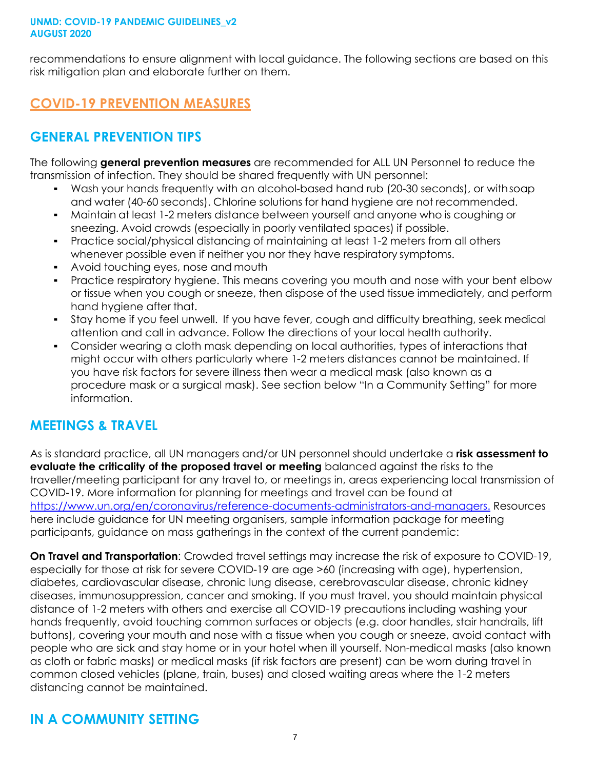recommendations to ensure alignment with local guidance. The following sections are based on this risk mitigation plan and elaborate further on them.

# <span id="page-6-0"></span>**COVID-19 PREVENTION MEASURES**

# **GENERAL PREVENTION TIPS**

The following **general prevention measures** are recommended for ALL UN Personnel to reduce the transmission of infection. They should be shared frequently with UN personnel:

- Wash your hands frequently with an alcohol-based hand rub (20-30 seconds), or withsoap and water (40-60 seconds). Chlorine solutions for hand hygiene are not recommended.
- Maintain at least 1-2 meters distance between yourself and anyone who is coughing or sneezing. Avoid crowds (especially in poorly ventilated spaces) if possible.
- Practice social/physical distancing of maintaining at least 1-2 meters from all others whenever possible even if neither you nor they have respiratory symptoms.
- Avoid touching eyes, nose and mouth
- Practice respiratory hygiene. This means covering you mouth and nose with your bent elbow or tissue when you cough or sneeze, then dispose of the used tissue immediately, and perform hand hygiene after that.
- Stay home if you feel unwell. If you have fever, cough and difficulty breathing, seek medical attention and call in advance. Follow the directions of your local health authority.
- Consider wearing a cloth mask depending on local authorities, types of interactions that might occur with others particularly where 1-2 meters distances cannot be maintained. If you have risk factors for severe illness then wear a medical mask (also known as a procedure mask or a surgical mask). See section below "In a Community Setting" for more information.

# **MEETINGS & TRAVEL**

As is standard practice, all UN managers and/or UN personnel should undertake a **risk assessment to evaluate the criticality of the proposed travel or meeting** balanced against the risks to the traveller/meeting participant for any travel to, or meetings in, areas experiencing local transmission of COVID-19. More information for planning for meetings and travel can be found at [https://www.un.org/en/coronavirus/reference-documents-administrators-and-managers.](https://www.un.org/en/coronavirus/reference-documents-administrators-and-managers) Resources here include guidance for UN meeting organisers, sample information package for meeting participants, guidance on mass gatherings in the context of the current pandemic:

**On Travel and Transportation**: Crowded travel settings may increase the risk of exposure to COVID-19, especially for those at risk for severe COVID-19 are age >60 (increasing with age), hypertension, diabetes, cardiovascular disease, chronic lung disease, cerebrovascular disease, chronic kidney diseases, immunosuppression, cancer and smoking. If you must travel, you should maintain physical distance of 1-2 meters with others and exercise all COVID-19 precautions including washing your hands frequently, avoid touching common surfaces or objects (e.g. door handles, stair handrails, lift buttons), covering your mouth and nose with a tissue when you cough or sneeze, avoid contact with people who are sick and stay home or in your hotel when ill yourself. Non-medical masks (also known as cloth or fabric masks) or medical masks (if risk factors are present) can be worn during travel in common closed vehicles (plane, train, buses) and closed waiting areas where the 1-2 meters distancing cannot be maintained.

# **IN A COMMUNITY SETTING**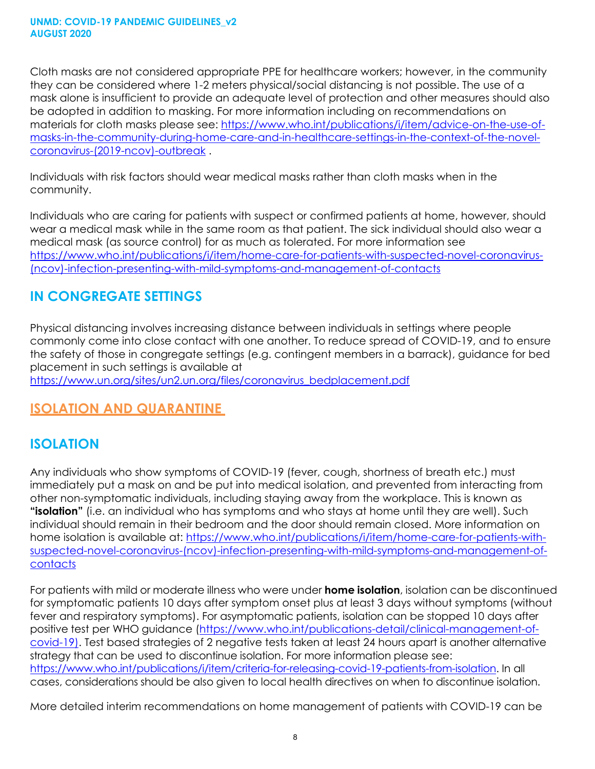Cloth masks are not considered appropriate PPE for healthcare workers; however, in the community they can be considered where 1-2 meters physical/social distancing is not possible. The use of a mask alone is insufficient to provide an adequate level of protection and other measures should also be adopted in addition to masking. For more information including on recommendations on materials for cloth masks please see: [https://www.who.int/publications/i/item/advice-on-the-use-of](https://www.who.int/publications/i/item/advice-on-the-use-of-masks-in-the-community-during-home-care-and-in-healthcare-settings-in-the-context-of-the-novel-coronavirus-(2019-ncov)-outbreak)[masks-in-the-community-during-home-care-and-in-healthcare-settings-in-the-context-of-the-novel](https://www.who.int/publications/i/item/advice-on-the-use-of-masks-in-the-community-during-home-care-and-in-healthcare-settings-in-the-context-of-the-novel-coronavirus-(2019-ncov)-outbreak)[coronavirus-\(2019-ncov\)-outbreak](https://www.who.int/publications/i/item/advice-on-the-use-of-masks-in-the-community-during-home-care-and-in-healthcare-settings-in-the-context-of-the-novel-coronavirus-(2019-ncov)-outbreak) .

Individuals with risk factors should wear medical masks rather than cloth masks when in the community.

Individuals who are caring for patients with suspect or confirmed patients at home, however, should wear a medical mask while in the same room as that patient. The sick individual should also wear a medical mask (as source control) for as much as tolerated. For more information see [https://www.who.int/publications/i/item/home-care-for-patients-with-suspected-novel-coronavirus-](https://www.who.int/publications/i/item/home-care-for-patients-with-suspected-novel-coronavirus-(ncov)-infection-presenting-with-mild-symptoms-and-management-of-contacts) [\(ncov\)-infection-presenting-with-mild-symptoms-and-management-of-contacts](https://www.who.int/publications/i/item/home-care-for-patients-with-suspected-novel-coronavirus-(ncov)-infection-presenting-with-mild-symptoms-and-management-of-contacts)

# **IN CONGREGATE SETTINGS**

Physical distancing involves increasing distance between individuals in settings where people commonly come into close contact with one another. To reduce spread of COVID-19, and to ensure the safety of those in congregate settings (e.g. contingent members in a barrack), guidance for bed placement in such settings is available at

[https://www.un.org/sites/un2.un.org/files/coronavirus\\_bedplacement.pdf](https://www.un.org/sites/un2.un.org/files/coronavirus_bedplacement.pdf)

# <span id="page-7-0"></span>**ISOLATION AND QUARANTINE**

### **ISOLATION**

Any individuals who show symptoms of COVID-19 (fever, cough, shortness of breath etc.) must immediately put a mask on and be put into medical isolation, and prevented from interacting from other non-symptomatic individuals, including staying away from the workplace. This is known as **"isolation"** (i.e. an individual who has symptoms and who stays at home until they are well). Such individual should remain in their bedroom and the door should remain closed. More information on home isolation is available at: [https://www.who.int/publications/i/item/home-care-for-patients-with](https://www.who.int/publications/i/item/home-care-for-patients-with-suspected-novel-coronavirus-(ncov)-infection-presenting-with-mild-symptoms-and-management-of-contacts)[suspected-novel-coronavirus-\(ncov\)-infection-presenting-with-mild-symptoms-and-management-of](https://www.who.int/publications/i/item/home-care-for-patients-with-suspected-novel-coronavirus-(ncov)-infection-presenting-with-mild-symptoms-and-management-of-contacts)**[contacts](https://www.who.int/publications/i/item/home-care-for-patients-with-suspected-novel-coronavirus-(ncov)-infection-presenting-with-mild-symptoms-and-management-of-contacts)** 

For patients with mild or moderate illness who were under **home isolation**, isolation can be discontinued for symptomatic patients 10 days after symptom onset plus at least 3 days without symptoms (without fever and respiratory symptoms). For asymptomatic patients, isolation can be stopped 10 days after positive test per WHO guidance [\(https://www.who.int/publications-detail/clinical-management-of](https://www.who.int/publications-detail/clinical-management-of-covid-19)[covid-19\)](https://www.who.int/publications-detail/clinical-management-of-covid-19). Test based strategies of 2 negative tests taken at least 24 hours apart is another alternative strategy that can be used to discontinue isolation. For more information please see: [https://www.who.int/publications/i/item/criteria-for-releasing-covid-19-patients-from-isolation.](https://www.who.int/publications/i/item/criteria-for-releasing-covid-19-patients-from-isolation) In all cases, considerations should be also given to local health directives on when to discontinue isolation.

More detailed interim recommendations on home management of patients with COVID-19 can be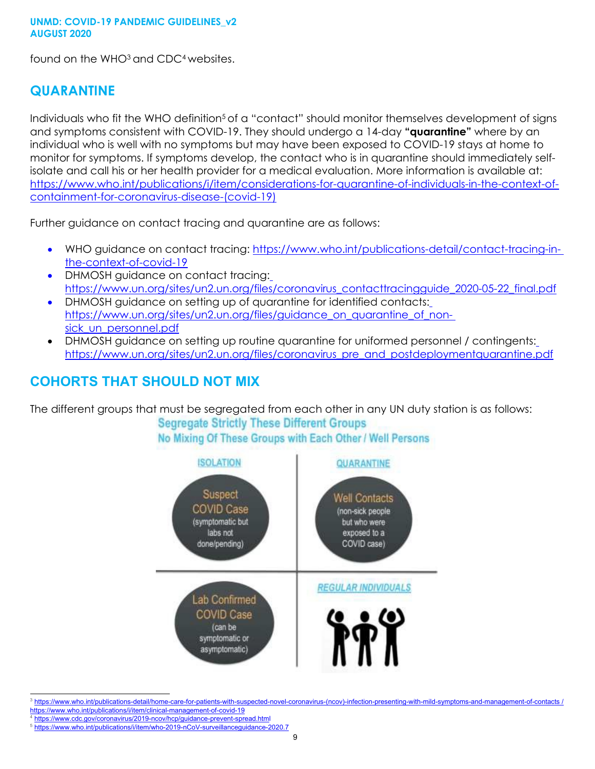found on the WHO<sup>3</sup> and CDC<sup>4</sup> websites.

#### **QUARANTINE**

Individuals who fit the WHO definition<sup>5</sup> of a "contact" should monitor themselves development of signs and symptoms consistent with COVID-19. They should undergo a 14-day **"quarantine"** where by an individual who is well with no symptoms but may have been exposed to COVID-19 stays at home to monitor for symptoms. If symptoms develop, the contact who is in quarantine should immediately selfisolate and call his or her health provider for a medical evaluation. More information is available at: [https://www.who.int/publications/i/item/considerations-for-quarantine-of-individuals-in-the-context-of](https://www.who.int/publications/i/item/considerations-for-quarantine-of-individuals-in-the-context-of-containment-for-coronavirus-disease-(covid-19))[containment-for-coronavirus-disease-\(covid-19\)](https://www.who.int/publications/i/item/considerations-for-quarantine-of-individuals-in-the-context-of-containment-for-coronavirus-disease-(covid-19))

Further guidance on contact tracing and quarantine are as follows:

- WHO guidance on contact tracing: [https://www.who.int/publications-detail/contact-tracing-in](https://www.who.int/publications-detail/contact-tracing-in-the-context-of-covid-19e)[the-context-of-covid-19](https://www.who.int/publications-detail/contact-tracing-in-the-context-of-covid-19e)
- DHMOSH guidance on contact tracing: [https://www.un.org/sites/un2.un.org/files/coronavirus\\_contacttracingguide\\_2020-05-22\\_final.pdf](https://www.un.org/sites/un2.un.org/files/coronavirus_contacttracingguide_2020-05-22_final.pdf)
- DHMOSH guidance on setting up of quarantine for identified contacts: [https://www.un.org/sites/un2.un.org/files/guidance\\_on\\_quarantine\\_of\\_non](https://www.un.org/sites/un2.un.org/files/guidance_on_quarantine_of_non-sick_un_personnel.pdf)sick un personnel.pdf
- DHMOSH guidance on setting up routine quarantine for uniformed personnel / contingents: [https://www.un.org/sites/un2.un.org/files/coronavirus\\_pre\\_and\\_postdeploymentquarantine.pdf](https://www.un.org/sites/un2.un.org/files/coronavirus_pre_and_postdeploymentquarantine.pdf)

# **COHORTS THAT SHOULD NOT MIX**

The different groups that must be segregated from each other in any UN duty station is as follows:

**Segregate Strictly These Different Groups** No Mixing Of These Groups with Each Other / Well Persons



<sup>3</sup> [https://www.who.int/publications-detail/home-care-for-patients-with-suspected-novel-coronavirus-\(ncov\)-infection-presenting-with-mild-symptoms-and-management-of-contacts /](https://www.who.int/publications-detail/home-care-for-patients-with-suspected-novel-coronavirus-(ncov)-infection-presenting-with-mild-symptoms-and-management-of-contacts) <https://www.who.int/publications/i/item/clinical-management-of-covid-19>

<sup>4</sup> <https://www.cdc.gov/coronavirus/2019-ncov/hcp/guidance-prevent-spread.html>

<sup>5</sup> <https://www.who.int/publications/i/item/who-2019-nCoV-surveillanceguidance-2020.7>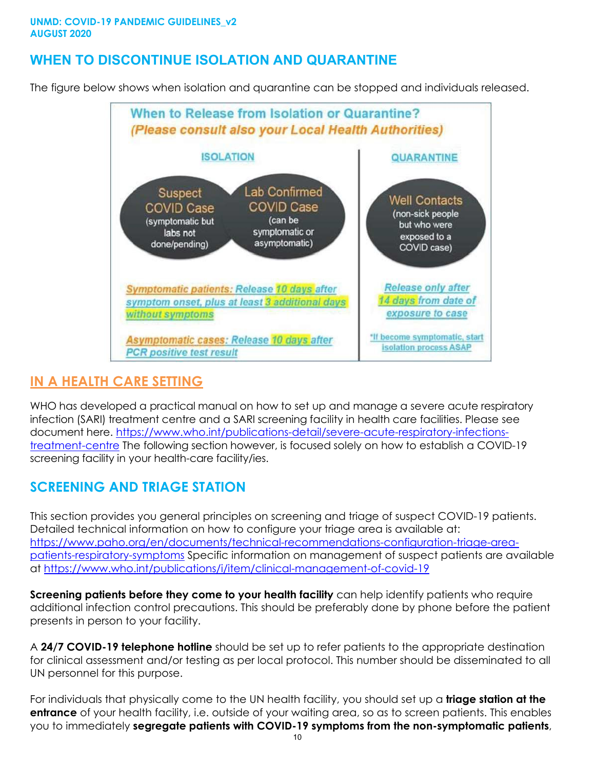# **WHEN TO DISCONTINUE ISOLATION AND QUARANTINE**

The figure below shows when isolation and quarantine can be stopped and individuals released.



#### <span id="page-9-0"></span>**IN A HEALTH CARE SETTING**

WHO has developed a practical manual on how to set up and manage a severe acute respiratory infection (SARI) treatment centre and a SARI screening facility in health care facilities. Please see document here. [https://www.who.int/publications-detail/severe-acute-respiratory-infections](https://www.who.int/publications-detail/severe-acute-respiratory-infections-treatment-centre)[treatment-centre](https://www.who.int/publications-detail/severe-acute-respiratory-infections-treatment-centre) The following section however, is focused solely on how to establish a COVID-19 screening facility in your health-care facility/ies.

# **SCREENING AND TRIAGE STATION**

This section provides you general principles on screening and triage of suspect COVID-19 patients. Detailed technical information on how to configure your triage area is available at: [https://www.paho.org/en/documents/technical-recommendations-configuration-triage-area](https://www.paho.org/en/documents/technical-recommendations-configuration-triage-area-patients-respiratory-symptoms)[patients-respiratory-symptoms](https://www.paho.org/en/documents/technical-recommendations-configuration-triage-area-patients-respiratory-symptoms) Specific information on management of suspect patients are available at<https://www.who.int/publications/i/item/clinical-management-of-covid-19>

**Screening patients before they come to your health facility** can help identify patients who require additional infection control precautions. This should be preferably done by phone before the patient presents in person to your facility.

A **24/7 COVID-19 telephone hotline** should be set up to refer patients to the appropriate destination for clinical assessment and/or testing as per local protocol. This number should be disseminated to all UN personnel for this purpose.

For individuals that physically come to the UN health facility, you should set up a **triage station at the entrance** of your health facility, i.e. outside of your waiting area, so as to screen patients. This enables you to immediately **segregate patients with COVID-19 symptoms from the non-symptomatic patients**,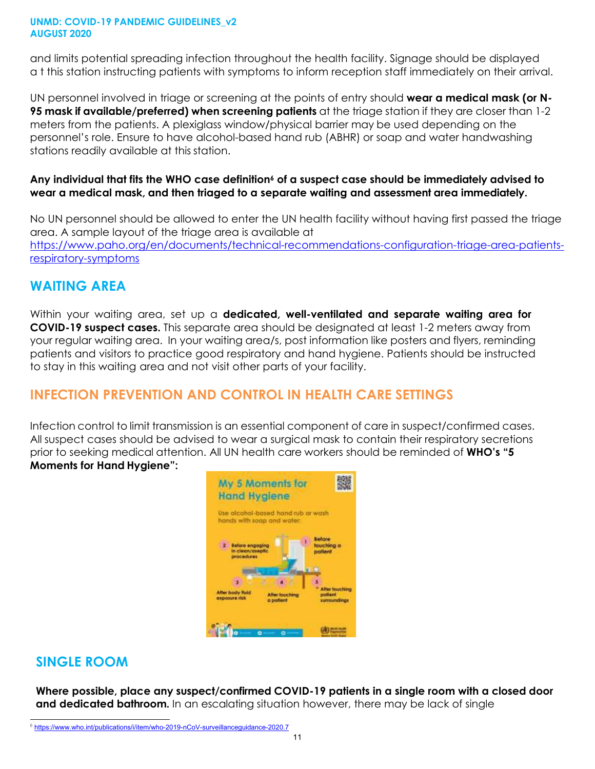and limits potential spreading infection throughout the health facility. Signage should be displayed a t this station instructing patients with symptoms to inform reception staff immediately on their arrival.

UN personnel involved in triage or screening at the points of entry should **wear a medical mask (or N-95 mask if available/preferred) when screening patients** at the triage station if they are closer than 1-2 meters from the patients. A plexiglass window/physical barrier may be used depending on the personnel's role. Ensure to have alcohol-based hand rub (ABHR) or soap and water handwashing stations readily available at this station.

#### Any individual that fits the WHO case definition<sup>6</sup> of a suspect case should be immediately advised to **wear a medical mask, and then triaged to a separate waiting and assessment area immediately.**

No UN personnel should be allowed to enter the UN health facility without having first passed the triage area. A sample layout of the triage area is available at [https://www.paho.org/en/documents/technical-recommendations-configuration-triage-area-patients](https://www.paho.org/en/documents/technical-recommendations-configuration-triage-area-patients-respiratory-symptoms)[respiratory-symptoms](https://www.paho.org/en/documents/technical-recommendations-configuration-triage-area-patients-respiratory-symptoms)

### **WAITING AREA**

Within your waiting area, set up a **dedicated, well-ventilated and separate waiting area for COVID-19 suspect cases.** This separate area should be designated at least 1-2 meters away from your regular waiting area. In your waiting area/s, post information like posters and flyers, reminding patients and visitors to practice good respiratory and hand hygiene. Patients should be instructed to stay in this waiting area and not visit other parts of your facility.

# **INFECTION PREVENTION AND CONTROL IN HEALTH CARE SETTINGS**

Infection control to limit transmission is an essential component of care in suspect/confirmed cases. All suspect cases should be advised to wear a surgical mask to contain their respiratory secretions prior to seeking medical attention. All UN health care workers should be reminded of **WHO's "5 Moments for Hand Hygiene":**



### **SINGLE ROOM**

**Where possible, place any suspect/confirmed COVID-19 patients in a single room with a closed door and dedicated bathroom.** In an escalating situation however, there may be lack of single

<sup>&</sup>lt;sup>6</sup> <https://www.who.int/publications/i/item/who-2019-nCoV-surveillanceguidance-2020.7>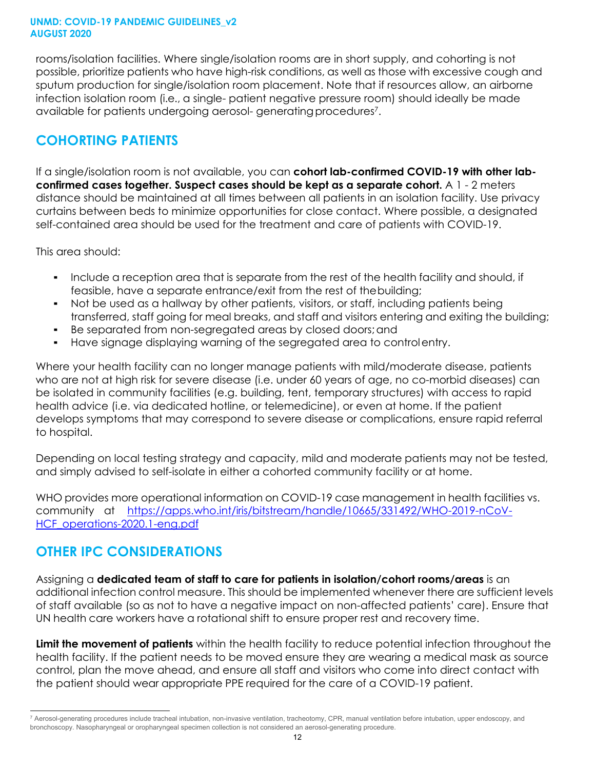rooms/isolation facilities. Where single/isolation rooms are in short supply, and cohorting is not possible, prioritize patients who have high-risk conditions, as well as those with excessive cough and sputum production for single/isolation room placement. Note that if resources allow, an airborne infection isolation room (i.e., a single- patient negative pressure room) should ideally be made available for patients undergoing aerosol- generatingprocedures7.

### **COHORTING PATIENTS**

If a single/isolation room is not available, you can **cohort lab-confirmed COVID-19 with other labconfirmed cases together. Suspect cases should be kept as a separate cohort.** A 1 - 2 meters distance should be maintained at all times between all patients in an isolation facility. Use privacy curtains between beds to minimize opportunities for close contact. Where possible, a designated self-contained area should be used for the treatment and care of patients with COVID-19.

This area should:

- Include a reception area that is separate from the rest of the health facility and should, if feasible, have a separate entrance/exit from the rest of thebuilding;
- Not be used as a hallway by other patients, visitors, or staff, including patients being transferred, staff going for meal breaks, and staff and visitors entering and exiting the building;
- Be separated from non-segregated areas by closed doors;and
- Have signage displaying warning of the segregated area to controlentry.

Where your health facility can no longer manage patients with mild/moderate disease, patients who are not at high risk for severe disease (i.e. under 60 years of age, no co-morbid diseases) can be isolated in community facilities (e.g. building, tent, temporary structures) with access to rapid health advice (i.e. via dedicated hotline, or telemedicine), or even at home. If the patient develops symptoms that may correspond to severe disease or complications, ensure rapid referral to hospital.

Depending on local testing strategy and capacity, mild and moderate patients may not be tested, and simply advised to self-isolate in either a cohorted community facility or at home.

WHO provides more operational information on COVID-19 case management in health facilities vs. community at [https://apps.who.int/iris/bitstream/handle/10665/331492/WHO-2019-nCoV-](https://apps.who.int/iris/bitstream/handle/10665/331492/WHO-2019-nCoV-HCF_operations-2020.1-eng.pdf)[HCF\\_operations-2020.1-eng.pdf](https://apps.who.int/iris/bitstream/handle/10665/331492/WHO-2019-nCoV-HCF_operations-2020.1-eng.pdf)

# **OTHER IPC CONSIDERATIONS**

Assigning a **dedicated team of staff to care for patients in isolation/cohort rooms/areas** is an additional infection control measure. This should be implemented whenever there are sufficient levels of staff available (so as not to have a negative impact on non-affected patients' care). Ensure that UN health care workers have a rotational shift to ensure proper rest and recovery time.

**Limit the movement of patients** within the health facility to reduce potential infection throughout the health facility. If the patient needs to be moved ensure they are wearing a medical mask as source control, plan the move ahead, and ensure all staff and visitors who come into direct contact with the patient should wear appropriate PPE required for the care of a COVID-19 patient.

<sup>7</sup> Aerosol-generating procedures include tracheal intubation, non-invasive ventilation, tracheotomy, CPR, manual ventilation before intubation, upper endoscopy, and bronchoscopy. Nasopharyngeal or oropharyngeal specimen collection is not considered an aerosol-generating procedure.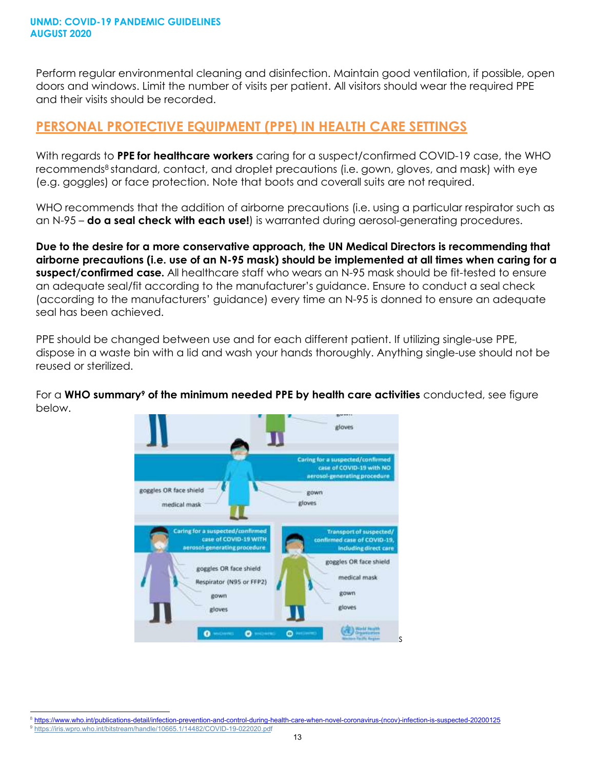Perform regular environmental cleaning and disinfection. Maintain good ventilation, if possible, open doors and windows. Limit the number of visits per patient. All visitors should wear the required PPE and their visits should be recorded.

#### **PERSONAL PROTECTIVE EQUIPMENT (PPE) IN HEALTH CARE SETTINGS**

With regards to **PPE for healthcare workers** caring for a suspect/confirmed COVID-19 case, the WHO recommends<sup>8</sup> standard, contact, and droplet precautions (i.e. gown, gloves, and mask) with eye (e.g. goggles) or face protection. Note that boots and coverall suits are not required.

WHO recommends that the addition of airborne precautions (i.e. using a particular respirator such as an N-95 – **do a seal check with each use!**) is warranted during aerosol-generating procedures.

**Due to the desire for a more conservative approach, the UN Medical Directors is recommending that airborne precautions (i.e. use of an N-95 mask) should be implemented at all times when caring for a suspect/confirmed case.** All healthcare staff who wears an N-95 mask should be fit-tested to ensure an adequate seal/fit according to the manufacturer's guidance. Ensure to conduct a seal check (according to the manufacturers' guidance) every time an N-95 is donned to ensure an adequate seal has been achieved.

PPE should be changed between use and for each different patient. If utilizing single-use PPE, dispose in a waste bin with a lid and wash your hands thoroughly. Anything single-use should not be reused or sterilized.

For a **WHO summary9 of the minimum needed PPE by health care activities** conducted, see figure below.



<sup>8</sup> [https://www.who.int/publications-detail/infection-prevention-and-control-during-health-care-when-novel-coronavirus-\(ncov\)-infection-is-suspected-20200125](https://www.who.int/publications-detail/infection-prevention-and-control-during-health-care-when-novel-coronavirus-(ncov)-infection-is-suspected-20200125)

<sup>9</sup> <https://iris.wpro.who.int/bitstream/handle/10665.1/14482/COVID-19-022020.pdf>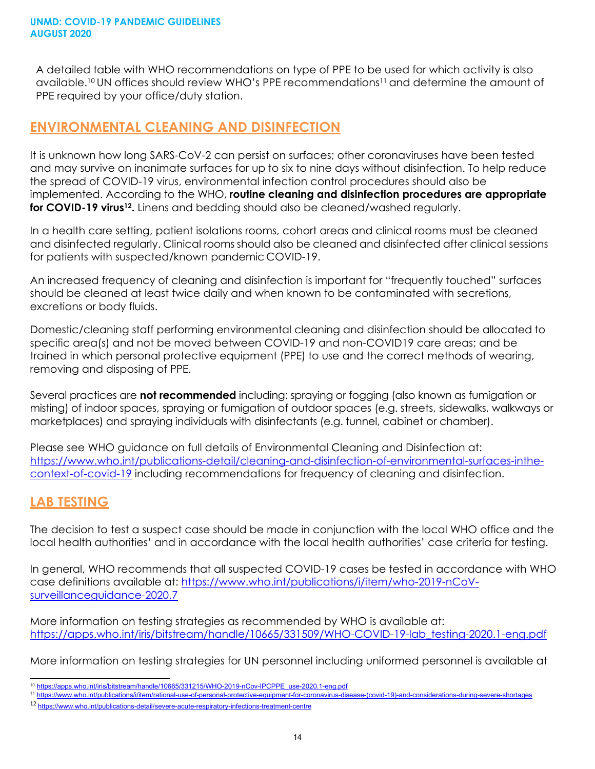A detailed table with WHO recommendations on type of PPE to be used for which activity is also available.<sup>10</sup> UN offices should review WHO's PPE recommendations<sup>11</sup> and determine the amount of PPE required by your office/duty station.

### <span id="page-13-0"></span>**ENVIRONMENTAL CLEANING AND DISINFECTION**

It is unknown how long SARS-CoV-2 can persist on surfaces; other coronaviruses have been tested and may survive on inanimate surfaces for up to six to nine days without disinfection. To help reduce the spread of COVID-19 virus, environmental infection control procedures should also be implemented. According to the WHO, **routine cleaning and disinfection procedures are appropriate for COVID-19 virus12.** Linens and bedding should also be cleaned/washed regularly.

In a health care setting, patient isolations rooms, cohort areas and clinical rooms must be cleaned and disinfected regularly. Clinical rooms should also be cleaned and disinfected after clinical sessions for patients with suspected/known pandemic COVID-19.

An increased frequency of cleaning and disinfection is important for "frequently touched" surfaces should be cleaned at least twice daily and when known to be contaminated with secretions, excretions or body fluids.

Domestic/cleaning staff performing environmental cleaning and disinfection should be allocated to specific area(s) and not be moved between COVID-19 and non-COVID19 care areas; and be trained in which personal protective equipment (PPE) to use and the correct methods of wearing, removing and disposing of PPE.

Several practices are **not recommended** including: spraying or fogging (also known as fumigation or misting) of indoor spaces, spraying or fumigation of outdoor spaces (e.g. streets, sidewalks, walkways or marketplaces) and spraying individuals with disinfectants (e.g. tunnel, cabinet or chamber).

Please see WHO guidance on full details of Environmental Cleaning and Disinfection at: [https://www.who.int/publications-detail/cleaning-and-disinfection-of-environmental-surfaces-inthe](https://www.who.int/publications-detail/cleaning-and-disinfection-of-environmental-surfaces-inthe-context-of-covid-19)[context-of-covid-19](https://www.who.int/publications-detail/cleaning-and-disinfection-of-environmental-surfaces-inthe-context-of-covid-19) including recommendations for frequency of cleaning and disinfection.

### <span id="page-13-1"></span>**LAB TESTING**

The decision to test a suspect case should be made in conjunction with the local WHO office and the local health authorities' and in accordance with the local health authorities' case criteria for testing.

In general, WHO recommends that all suspected COVID-19 cases be tested in accordance with WHO case definitions available at: [https://www.who.int/publications/i/item/who-2019-nCoV](https://www.who.int/publications/i/item/who-2019-nCoV-surveillanceguidance-2020.7)[surveillanceguidance-2020.7](https://www.who.int/publications/i/item/who-2019-nCoV-surveillanceguidance-2020.7)

More information on testing strategies as recommended by WHO is available at: [https://apps.who.int/iris/bitstream/handle/10665/331509/WHO-COVID-19-lab\\_testing-2020.1-eng.pdf](https://apps.who.int/iris/bitstream/handle/10665/331509/WHO-COVID-19-lab_testing-2020.1-eng.pdf)

More information on testing strategies for UN personnel including uniformed personnel is available at

<sup>10</sup> [https://apps.who.int/iris/bitstream/handle/10665/331215/WHO-2019-nCov-IPCPPE\\_use-2020.1-eng.pdf](https://apps.who.int/iris/bitstream/handle/10665/331215/WHO-2019-nCov-IPCPPE_use-2020.1-eng.pdf)

<sup>11</sup> [https://www.who.int/publications/i/item/rational-use-of-personal-protective-equipment-for-coronavirus-disease-\(covid-19\)-and-considerations-during-severe-shortages](https://www.who.int/publications/i/item/rational-use-of-personal-protective-equipment-for-coronavirus-disease-(covid-19)-and-considerations-during-severe-shortages)

<sup>12</sup> <https://www.who.int/publications-detail/severe-acute-respiratory-infections-treatment-centre>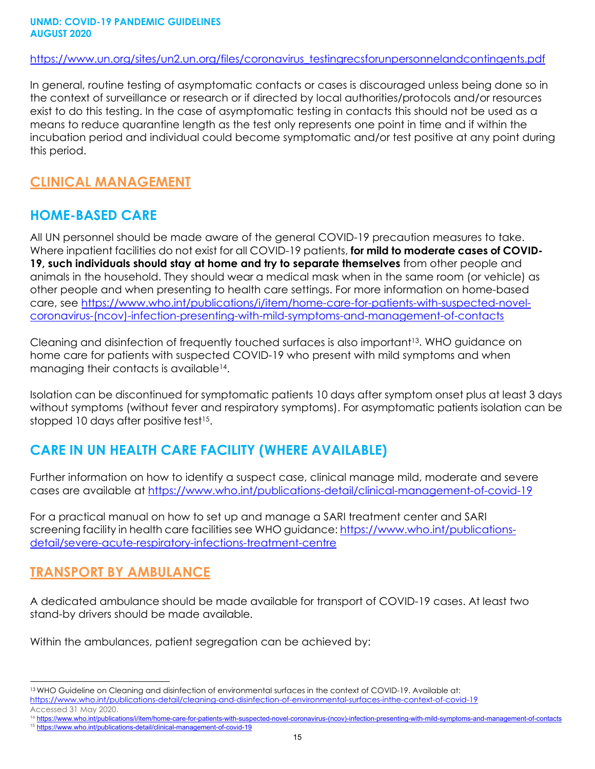[https://www.un.org/sites/un2.un.org/files/coronavirus\\_testingrecsforunpersonnelandcontingents.pdf](https://www.un.org/sites/un2.un.org/files/coronavirus_testingrecsforunpersonnelandcontingents.pdf)

In general, routine testing of asymptomatic contacts or cases is discouraged unless being done so in the context of surveillance or research or if directed by local authorities/protocols and/or resources exist to do this testing. In the case of asymptomatic testing in contacts this should not be used as a means to reduce quarantine length as the test only represents one point in time and if within the incubation period and individual could become symptomatic and/or test positive at any point during this period.

### **CLINICAL MANAGEMENT**

# **HOME-BASED CARE**

All UN personnel should be made aware of the general COVID-19 precaution measures to take. Where inpatient facilities do not exist for all COVID-19 patients, **for mild to moderate cases of COVID-19, such individuals should stay at home and try to separate themselves** from other people and animals in the household. They should wear a medical mask when in the same room (or vehicle) as other people and when presenting to health care settings. For more information on home-based care, see [https://www.who.int/publications/i/item/home-care-for-patients-with-suspected-novel](https://www.who.int/publications/i/item/home-care-for-patients-with-suspected-novel-coronavirus-(ncov)-infection-presenting-with-mild-symptoms-and-management-of-contacts)[coronavirus-\(ncov\)-infection-presenting-with-mild-symptoms-and-management-of-contacts](https://www.who.int/publications/i/item/home-care-for-patients-with-suspected-novel-coronavirus-(ncov)-infection-presenting-with-mild-symptoms-and-management-of-contacts)

Cleaning and disinfection of frequently touched surfaces is also important<sup>13</sup>. WHO guidance on home care for patients with suspected COVID-19 who present with mild symptoms and when managing their contacts is available<sup>14</sup>.

Isolation can be discontinued for symptomatic patients 10 days after symptom onset plus at least 3 days without symptoms (without fever and respiratory symptoms). For asymptomatic patients isolation can be stopped 10 days after positive test<sup>15</sup>.

# **CARE IN UN HEALTH CARE FACILITY (WHERE AVAILABLE)**

Further information on how to identify a suspect case, clinical manage mild, moderate and severe cases are available at<https://www.who.int/publications-detail/clinical-management-of-covid-19>

For a practical manual on how to set up and manage a SARI treatment center and SARI screening facility in health care facilities see WHO guidance: [https://www.who.int/publications](https://www.who.int/publications-detail/severe-acute-respiratory-infections-treatment-centre)[detail/severe-acute-respiratory-infections-treatment-centre](https://www.who.int/publications-detail/severe-acute-respiratory-infections-treatment-centre)

# <span id="page-14-0"></span>**TRANSPORT BY AMBULANCE**

A dedicated ambulance should be made available for transport of COVID-19 cases. At least two stand-by drivers should be made available.

Within the ambulances, patient segregation can be achieved by:

<sup>13</sup> WHO Guideline on Cleaning and disinfection of environmental surfaces in the context of COVID-19. Available at:

<https://www.who.int/publications-detail/cleaning-and-disinfection-of-environmental-surfaces-inthe-context-of-covid-19>

Accessed 31 May 2020.

<sup>&</sup>lt;sup>14</sup> [https://www.who.int/publications/i/item/home-care-for-patients-with-suspected-novel-coronavirus-\(ncov\)-infection-presenting-with-mild-symptoms-and-management-of-contacts](https://www.who.int/publications/i/item/home-care-for-patients-with-suspected-novel-coronavirus-(ncov)-infection-presenting-with-mild-symptoms-and-management-of-contacts)

<sup>15</sup> <https://www.who.int/publications-detail/clinical-management-of-covid-19>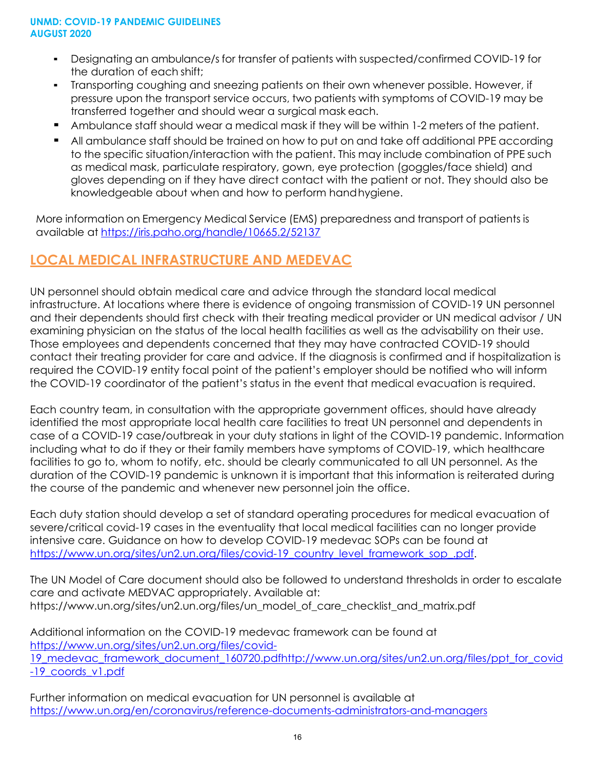- Designating an ambulance/s for transfer of patients with suspected/confirmed COVID-19 for the duration of each shift;
- Transporting coughing and sneezing patients on their own whenever possible. However, if pressure upon the transport service occurs, two patients with symptoms of COVID-19 may be transferred together and should wear a surgical mask each.
- Ambulance staff should wear a medical mask if they will be within 1-2 meters of the patient.
- All ambulance staff should be trained on how to put on and take off additional PPE according to the specific situation/interaction with the patient. This may include combination of PPE such as medical mask, particulate respiratory, gown, eye protection (goggles/face shield) and gloves depending on if they have direct contact with the patient or not. They should also be knowledgeable about when and how to perform handhygiene.

More information on Emergency Medical Service (EMS) preparedness and transport of patients is available at <https://iris.paho.org/handle/10665.2/52137>

# <span id="page-15-0"></span>**LOCAL MEDICAL INFRASTRUCTURE AND MEDEVAC**

UN personnel should obtain medical care and advice through the standard local medical infrastructure. At locations where there is evidence of ongoing transmission of COVID-19 UN personnel and their dependents should first check with their treating medical provider or UN medical advisor / UN examining physician on the status of the local health facilities as well as the advisability on their use. Those employees and dependents concerned that they may have contracted COVID-19 should contact their treating provider for care and advice. If the diagnosis is confirmed and if hospitalization is required the COVID-19 entity focal point of the patient's employer should be notified who will inform the COVID-19 coordinator of the patient's status in the event that medical evacuation is required.

Each country team, in consultation with the appropriate government offices, should have already identified the most appropriate local health care facilities to treat UN personnel and dependents in case of a COVID-19 case/outbreak in your duty stations in light of the COVID-19 pandemic. Information including what to do if they or their family members have symptoms of COVID-19, which healthcare facilities to go to, whom to notify, etc. should be clearly communicated to all UN personnel. As the duration of the COVID-19 pandemic is unknown it is important that this information is reiterated during the course of the pandemic and whenever new personnel join the office.

Each duty station should develop a set of standard operating procedures for medical evacuation of severe/critical covid-19 cases in the eventuality that local medical facilities can no longer provide intensive care. Guidance on how to develop COVID-19 medevac SOPs can be found at [https://www.un.org/sites/un2.un.org/files/covid-19\\_country\\_level\\_framework\\_sop\\_.pdf.](https://www.un.org/sites/un2.un.org/files/covid-19_country_level_framework_sop_.pdf)

The UN Model of Care document should also be followed to understand thresholds in order to escalate care and activate MEDVAC appropriately. Available at: https:/[/www.un.org/sites/un2.un.org/files/un\\_model\\_of\\_care\\_checklist\\_and\\_matrix.pdf](http://www.un.org/sites/un2.un.org/files/un_model_of_care_checklist_and_matrix.pdf)

Additional information on the COVID-19 medevac framework can be found at https:/[/www.un.org/sites/un2.un.org/files/covid-](http://www.un.org/sites/un2.un.org/files/covid-)

19 medevac framework document 160720.pdfhttp://www.un.org/sites/un2.un.org/files/ppt for covid -19 coords v1.pdf

Further information on medical evacuation for UN personnel is available at <https://www.un.org/en/coronavirus/reference-documents-administrators-and-managers>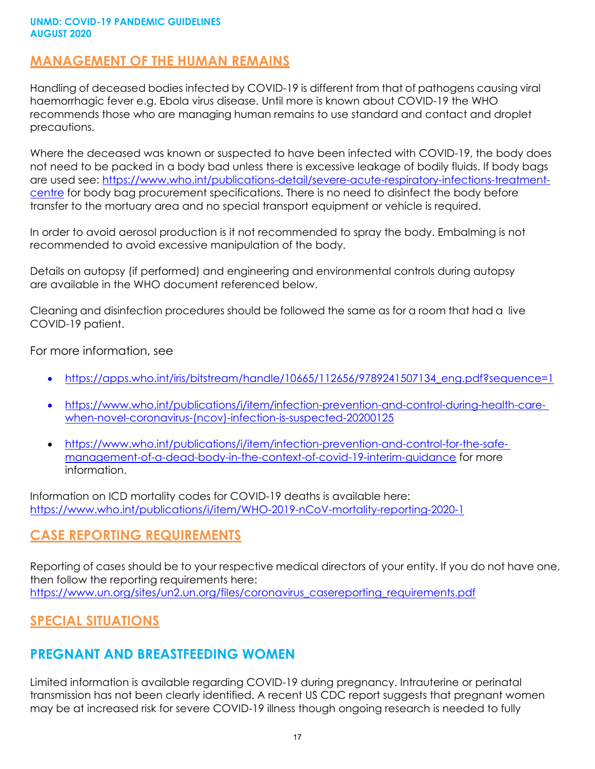#### <span id="page-16-0"></span>**MANAGEMENT OF THE HUMAN REMAINS**

Handling of deceased bodies infected by COVID-19 is different from that of pathogens causing viral haemorrhagic fever e.g. Ebola virus disease. Until more is known about COVID-19 the WHO recommends those who are managing human remains to use standard and contact and droplet precautions.

Where the deceased was known or suspected to have been infected with COVID-19, the body does not need to be packed in a body bad unless there is excessive leakage of bodily fluids. If body bags are used see: [https://www.who.int/publications-detail/severe-acute-respiratory-infections-treatment](https://www.who.int/publications-detail/severe-acute-respiratory-infections-treatment-centre)[centre f](https://www.who.int/publications-detail/severe-acute-respiratory-infections-treatment-centre)or body bag procurement specifications. There is no need to disinfect the body before transfer to the mortuary area and no special transport equipment or vehicle is required.

In order to avoid aerosol production is it not recommended to spray the body. Embalming is not recommended to avoid excessive manipulation of the body.

Details on autopsy (if performed) and engineering and environmental controls during autopsy are available in the WHO document referenced below.

Cleaning and disinfection procedures should be followed the same as for a room that had a live COVID-19 patient.

For more information, see

- [https://apps.who.int/iris/bitstream/handle/10665/112656/9789241507134\\_eng.pdf?sequence=1](https://apps.who.int/iris/bitstream/handle/10665/112656/9789241507134_eng.pdf?sequence=1)
- [https://www.who.int/publications/i/item/infection-prevention-and-control-during-health-care](https://www.who.int/publications/i/item/infection-prevention-and-control-during-health-care-when-novel-coronavirus-(ncov)-infection-is-suspected-20200125)[when-novel-coronavirus-\(ncov\)-infection-is-suspected-20200125](https://www.who.int/publications/i/item/infection-prevention-and-control-during-health-care-when-novel-coronavirus-(ncov)-infection-is-suspected-20200125)
- [https://www.who.int/publications/i/item/infection-prevention-and-control-for-the-safe](https://www.who.int/publications/i/item/infection-prevention-and-control-for-the-safe-management-of-a-dead-body-in-the-context-of-covid-19-interim-guidance)[management-of-a-dead-body-in-the-context-of-covid-19-interim-guidance](https://www.who.int/publications/i/item/infection-prevention-and-control-for-the-safe-management-of-a-dead-body-in-the-context-of-covid-19-interim-guidance) for more information.

Information on ICD mortality codes for COVID-19 deaths is available here: <https://www.who.int/publications/i/item/WHO-2019-nCoV-mortality-reporting-2020-1>

# <span id="page-16-1"></span>**CASE REPORTING REQUIREMENTS**

Reporting of cases should be to your respective medical directors of your entity. If you do not have one, then follow the reporting requirements here: [https://www.un.org/sites/un2.un.org/files/coronavirus\\_casereporting\\_requirements.pdf](https://www.un.org/sites/un2.un.org/files/coronavirus_casereporting_requirements.pdf)

### <span id="page-16-2"></span>**SPECIAL SITUATIONS**

### **PREGNANT AND BREASTFEEDING WOMEN**

Limited information is available regarding COVID-19 during pregnancy. Intrauterine or perinatal transmission has not been clearly identified. A recent US CDC report suggests that pregnant women may be at increased risk for severe COVID-19 illness though ongoing research is needed to fully